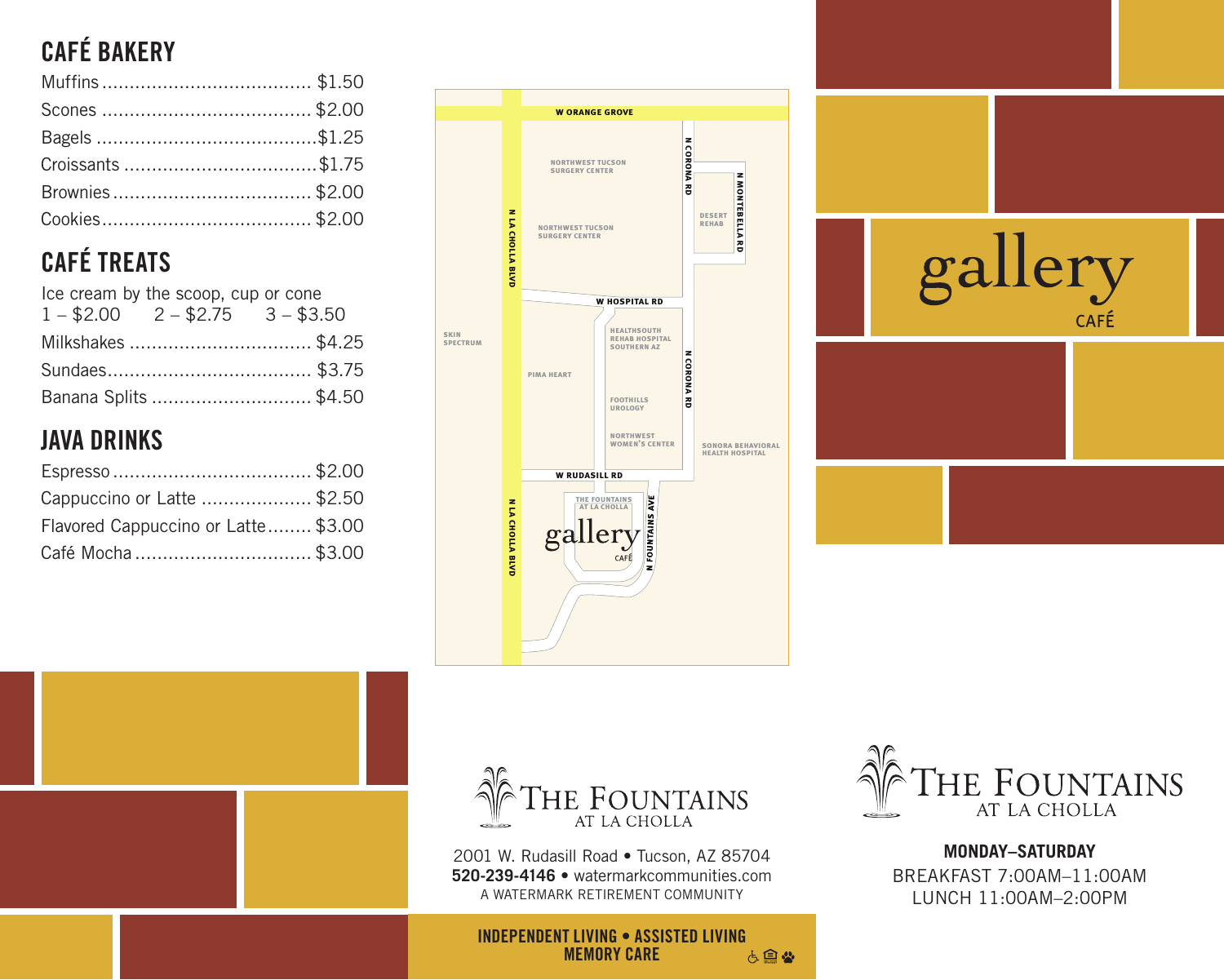# **CAFÉ BAKERY**

# **CAFÉ TREATS**

| Ice cream by the scoop, cup or cone<br>$1 - $2.00$ $2 - $2.75$ $3 - $3.50$ |  |                      |  |  |  |  |  |  |
|----------------------------------------------------------------------------|--|----------------------|--|--|--|--|--|--|
|                                                                            |  | Milkshakes \$4.25    |  |  |  |  |  |  |
|                                                                            |  |                      |  |  |  |  |  |  |
|                                                                            |  | Banana Splits \$4.50 |  |  |  |  |  |  |

## **JAVA DRINKS**

| Cappuccino or Latte \$2.50          |  |
|-------------------------------------|--|
| Flavored Cappuccino or Latte \$3.00 |  |
| Café Mocha \$3.00                   |  |







2001 W. Rudasill Road • Tucson, AZ 85704 **520-239-4146** • watermarkcommunities.com



**MONDAY–SATURDAY** BREAKFAST 7:00AM–11:00AM LUNCH 11:00AM–2:00PM

**INDEPENDENT LIVING • ASSISTED LIVING**<br>MEMORY CARE **& MEMORY CARE**